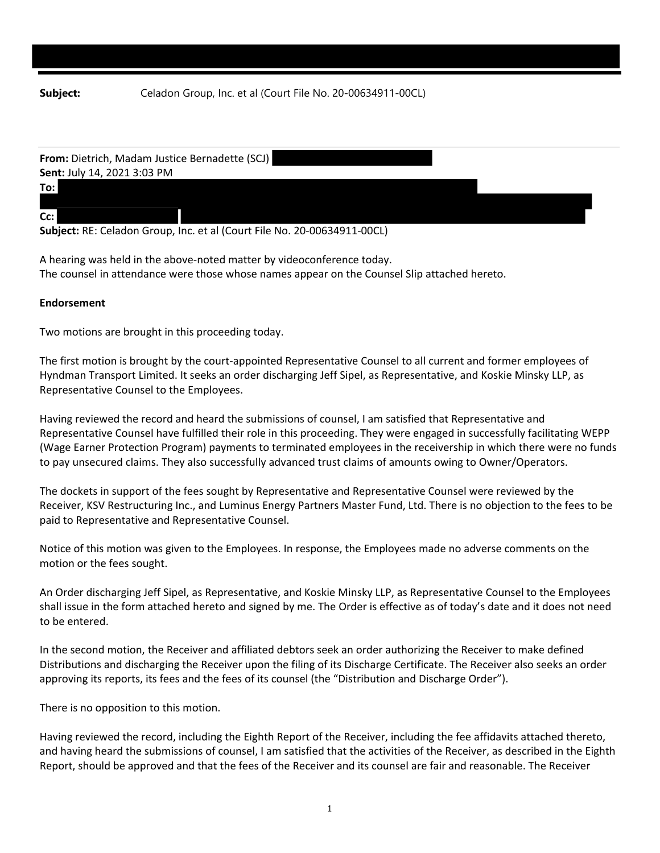| From: Dietrich, Madam Justice Bernadette (SCJ)                                                             |  |  |
|------------------------------------------------------------------------------------------------------------|--|--|
| Sent: July 14, 2021 3:03 PM                                                                                |  |  |
| To:                                                                                                        |  |  |
|                                                                                                            |  |  |
| Cc:                                                                                                        |  |  |
| $\alpha$ is a BE $\alpha$ in the $\alpha$ such that is in the second of $\alpha$ is a substantial $\alpha$ |  |  |

**Subject:** RE: Celadon Group, Inc. et al (Court File No. 20‐00634911‐00CL)

A hearing was held in the above‐noted matter by videoconference today. The counsel in attendance were those whose names appear on the Counsel Slip attached hereto.

## **Endorsement**

Two motions are brought in this proceeding today.

The first motion is brought by the court-appointed Representative Counsel to all current and former employees of Hyndman Transport Limited. It seeks an order discharging Jeff Sipel, as Representative, and Koskie Minsky LLP, as Representative Counsel to the Employees.

Having reviewed the record and heard the submissions of counsel, I am satisfied that Representative and Representative Counsel have fulfilled their role in this proceeding. They were engaged in successfully facilitating WEPP (Wage Earner Protection Program) payments to terminated employees in the receivership in which there were no funds to pay unsecured claims. They also successfully advanced trust claims of amounts owing to Owner/Operators.

The dockets in support of the fees sought by Representative and Representative Counsel were reviewed by the Receiver, KSV Restructuring Inc., and Luminus Energy Partners Master Fund, Ltd. There is no objection to the fees to be paid to Representative and Representative Counsel.

Notice of this motion was given to the Employees. In response, the Employees made no adverse comments on the motion or the fees sought.

An Order discharging Jeff Sipel, as Representative, and Koskie Minsky LLP, as Representative Counsel to the Employees shall issue in the form attached hereto and signed by me. The Order is effective as of today's date and it does not need to be entered.

In the second motion, the Receiver and affiliated debtors seek an order authorizing the Receiver to make defined Distributions and discharging the Receiver upon the filing of its Discharge Certificate. The Receiver also seeks an order approving its reports, its fees and the fees of its counsel (the "Distribution and Discharge Order").

There is no opposition to this motion.

Having reviewed the record, including the Eighth Report of the Receiver, including the fee affidavits attached thereto, and having heard the submissions of counsel, I am satisfied that the activities of the Receiver, as described in the Eighth Report, should be approved and that the fees of the Receiver and its counsel are fair and reasonable. The Receiver